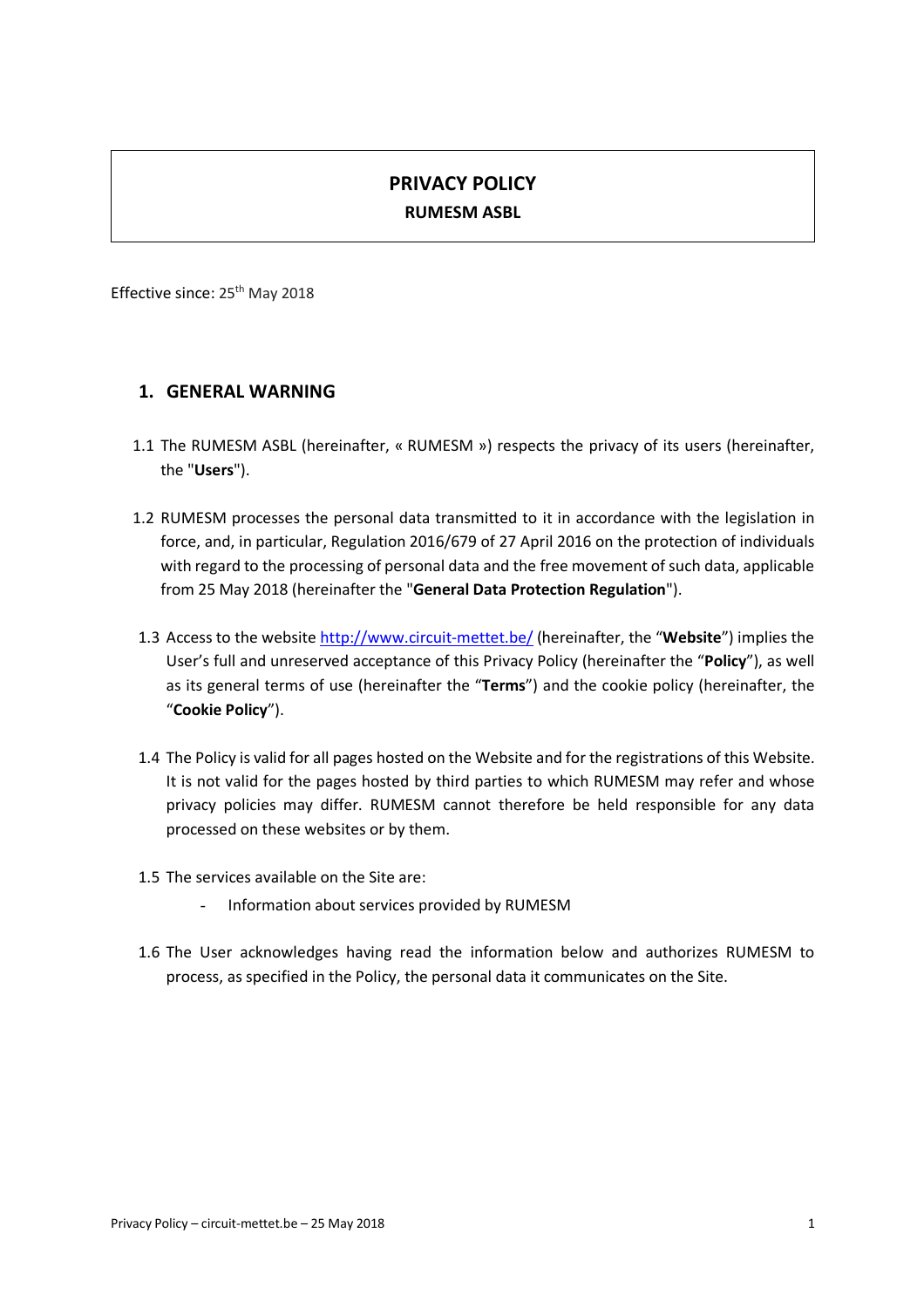# **PRIVACY POLICY RUMESM ASBL**

Effective since: 25th May 2018

### **1. GENERAL WARNING**

- 1.1 The RUMESM ASBL (hereinafter, « RUMESM ») respects the privacy of its users (hereinafter, the "**Users**").
- 1.2 RUMESM processes the personal data transmitted to it in accordance with the legislation in force, and, in particular, Regulation 2016/679 of 27 April 2016 on the protection of individuals with regard to the processing of personal data and the free movement of such data, applicable from 25 May 2018 (hereinafter the "**General Data Protection Regulation**").
- 1.3 Access to the website http://www.circuit-mettet.be/ (hereinafter, the "**Website**") implies the User's full and unreserved acceptance of this Privacy Policy (hereinafter the "**Policy**"), as well as its general terms of use (hereinafter the "**Terms**") and the cookie policy (hereinafter, the "**Cookie Policy**").
- 1.4 The Policy is valid for all pages hosted on the Website and for the registrations of this Website. It is not valid for the pages hosted by third parties to which RUMESM may refer and whose privacy policies may differ. RUMESM cannot therefore be held responsible for any data processed on these websites or by them.
- 1.5 The services available on the Site are:
	- Information about services provided by RUMESM
- 1.6 The User acknowledges having read the information below and authorizes RUMESM to process, as specified in the Policy, the personal data it communicates on the Site.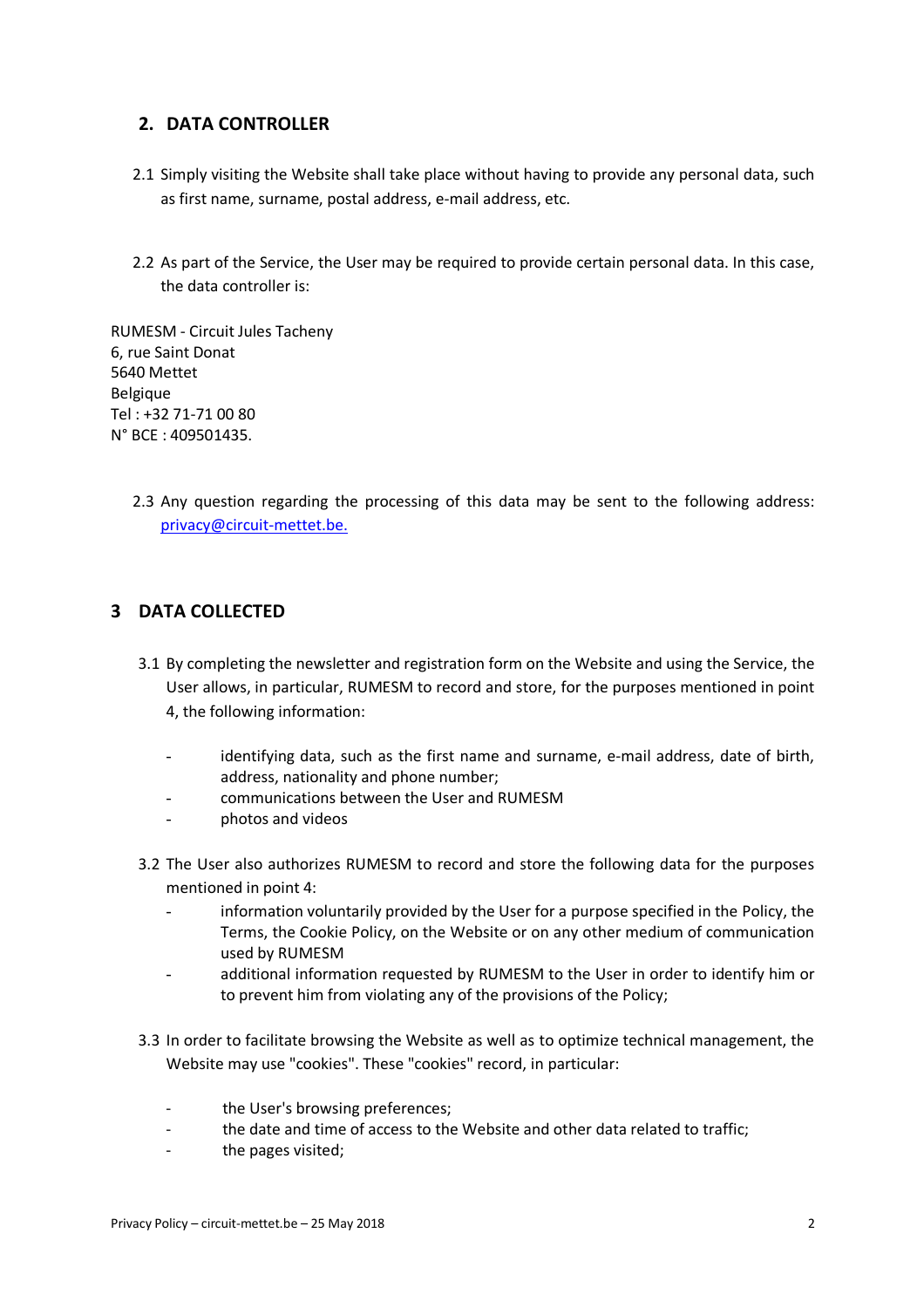### **2. DATA CONTROLLER**

- 2.1 Simply visiting the Website shall take place without having to provide any personal data, such as first name, surname, postal address, e-mail address, etc.
- 2.2 As part of the Service, the User may be required to provide certain personal data. In this case, the data controller is:

RUMESM - Circuit Jules Tacheny 6, rue Saint Donat 5640 Mettet Belgique Tel : +32 71-71 00 80 N° BCE : 409501435.

> 2.3 Any question regarding the processing of this data may be sent to the following address: privacy@circuit-mettet.be.

### **3 DATA COLLECTED**

- 3.1 By completing the newsletter and registration form on the Website and using the Service, the User allows, in particular, RUMESM to record and store, for the purposes mentioned in point 4, the following information:
	- identifying data, such as the first name and surname, e-mail address, date of birth, address, nationality and phone number;
	- communications between the User and RUMESM
	- photos and videos
- 3.2 The User also authorizes RUMESM to record and store the following data for the purposes mentioned in point 4:
	- information voluntarily provided by the User for a purpose specified in the Policy, the Terms, the Cookie Policy, on the Website or on any other medium of communication used by RUMESM
	- additional information requested by RUMESM to the User in order to identify him or to prevent him from violating any of the provisions of the Policy;
- 3.3 In order to facilitate browsing the Website as well as to optimize technical management, the Website may use "cookies". These "cookies" record, in particular:
	- the User's browsing preferences;
	- the date and time of access to the Website and other data related to traffic;
	- the pages visited;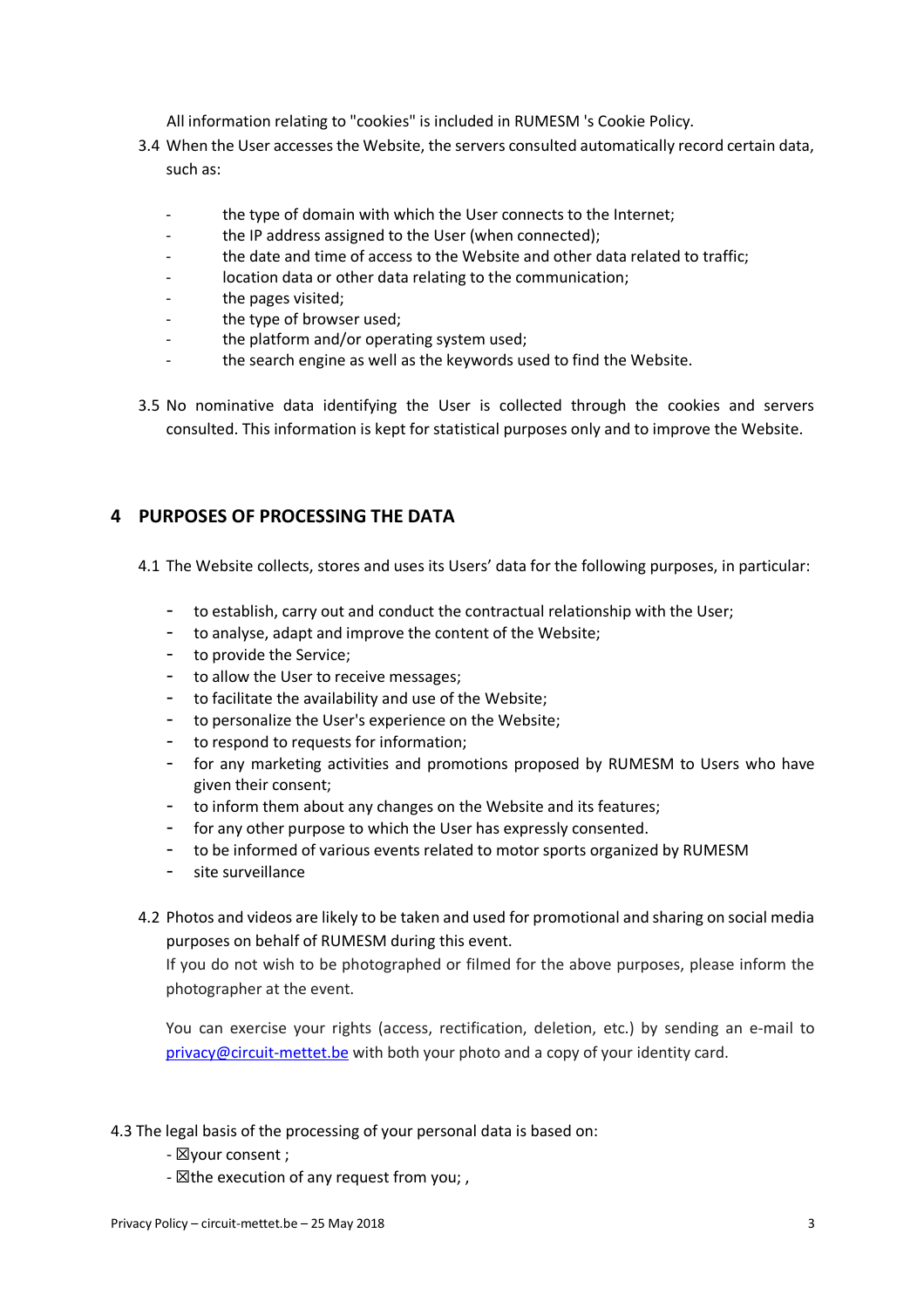All information relating to "cookies" is included in RUMESM 's Cookie Policy.

- 3.4 When the User accesses the Website, the servers consulted automatically record certain data, such as:
	- the type of domain with which the User connects to the Internet;
	- the IP address assigned to the User (when connected);
	- the date and time of access to the Website and other data related to traffic;
	- location data or other data relating to the communication;
	- the pages visited;
	- the type of browser used;
	- the platform and/or operating system used:
	- the search engine as well as the keywords used to find the Website.
- 3.5 No nominative data identifying the User is collected through the cookies and servers consulted. This information is kept for statistical purposes only and to improve the Website.

### **4 PURPOSES OF PROCESSING THE DATA**

4.1 The Website collects, stores and uses its Users' data for the following purposes, in particular:

- to establish, carry out and conduct the contractual relationship with the User;
- to analyse, adapt and improve the content of the Website;
- to provide the Service;
- to allow the User to receive messages;
- to facilitate the availability and use of the Website;
- to personalize the User's experience on the Website;
- to respond to requests for information;
- for any marketing activities and promotions proposed by RUMESM to Users who have given their consent;
- to inform them about any changes on the Website and its features;
- for any other purpose to which the User has expressly consented.
- to be informed of various events related to motor sports organized by RUMESM
- site surveillance
- 4.2 Photos and videos are likely to be taken and used for promotional and sharing on social media purposes on behalf of RUMESM during this event.

If you do not wish to be photographed or filmed for the above purposes, please inform the photographer at the event.

You can exercise your rights (access, rectification, deletion, etc.) by sending an e-mail to privacy@circuit-mettet.be with both your photo and a copy of your identity card.

- 4.3 The legal basis of the processing of your personal data is based on:
	- ☒your consent ;
	- $\boxtimes$  the execution of any request from you;,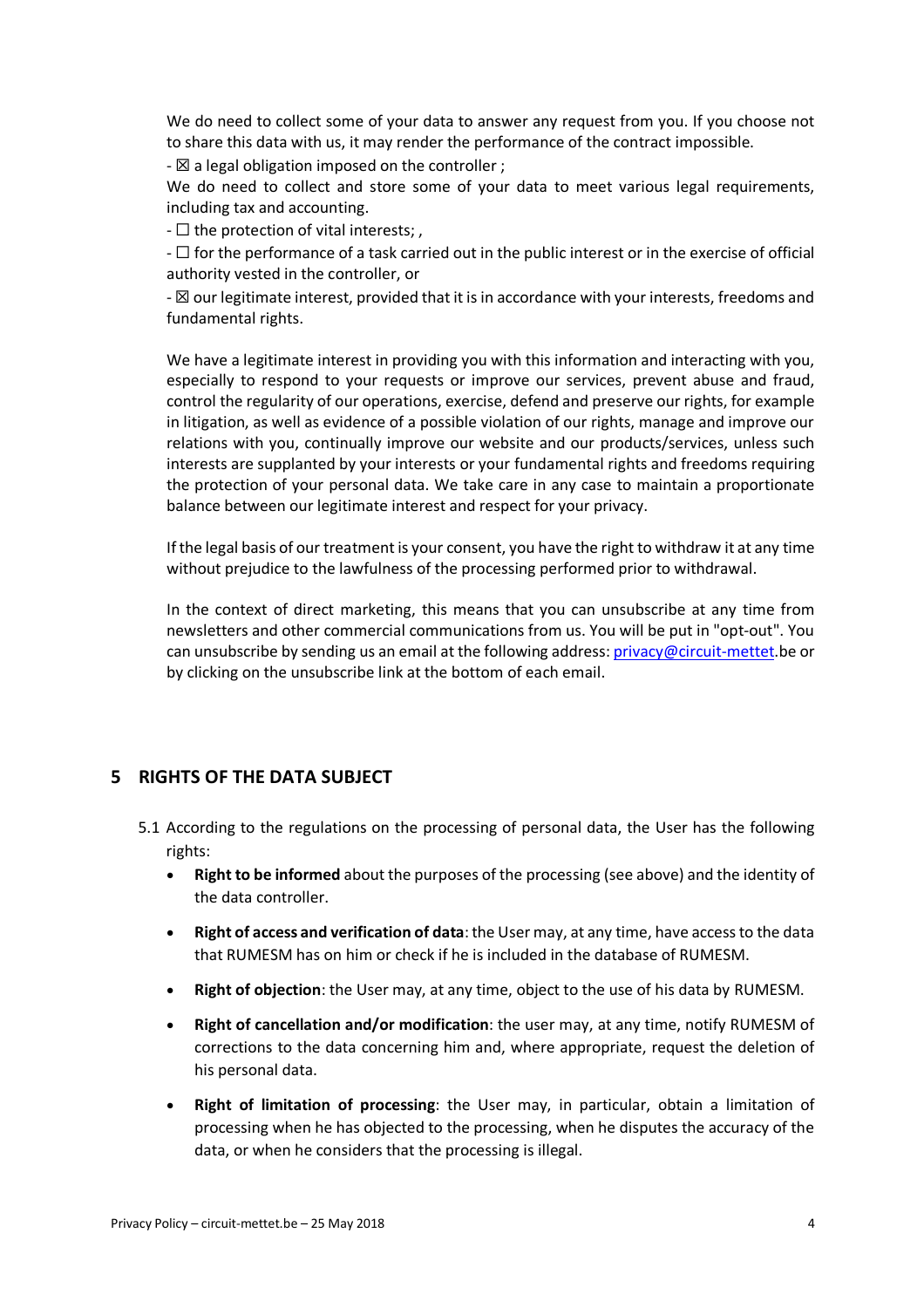We do need to collect some of your data to answer any request from you. If you choose not to share this data with us, it may render the performance of the contract impossible.

 $\boxtimes$  a legal obligation imposed on the controller ;

We do need to collect and store some of your data to meet various legal requirements, including tax and accounting.

 $- \Box$  the protection of vital interests;

- ☐ for the performance of a task carried out in the public interest or in the exercise of official authority vested in the controller, or

-  $\boxtimes$  our legitimate interest, provided that it is in accordance with your interests, freedoms and fundamental rights.

We have a legitimate interest in providing you with this information and interacting with you, especially to respond to your requests or improve our services, prevent abuse and fraud, control the regularity of our operations, exercise, defend and preserve our rights, for example in litigation, as well as evidence of a possible violation of our rights, manage and improve our relations with you, continually improve our website and our products/services, unless such interests are supplanted by your interests or your fundamental rights and freedoms requiring the protection of your personal data. We take care in any case to maintain a proportionate balance between our legitimate interest and respect for your privacy.

If the legal basis of our treatment is your consent, you have the right to withdraw it at any time without prejudice to the lawfulness of the processing performed prior to withdrawal.

In the context of direct marketing, this means that you can unsubscribe at any time from newsletters and other commercial communications from us. You will be put in "opt-out". You can unsubscribe by sending us an email at the following address: privacy@circuit-mettet.be or by clicking on the unsubscribe link at the bottom of each email.

#### **5 RIGHTS OF THE DATA SUBJECT**

- 5.1 According to the regulations on the processing of personal data, the User has the following rights:
	- **Right to be informed** about the purposes of the processing (see above) and the identity of the data controller.
	- **Right of access and verification of data**: the User may, at any time, have access to the data that RUMESM has on him or check if he is included in the database of RUMESM.
	- **Right of objection**: the User may, at any time, object to the use of his data by RUMESM.
	- **Right of cancellation and/or modification**: the user may, at any time, notify RUMESM of corrections to the data concerning him and, where appropriate, request the deletion of his personal data.
	- **Right of limitation of processing**: the User may, in particular, obtain a limitation of processing when he has objected to the processing, when he disputes the accuracy of the data, or when he considers that the processing is illegal.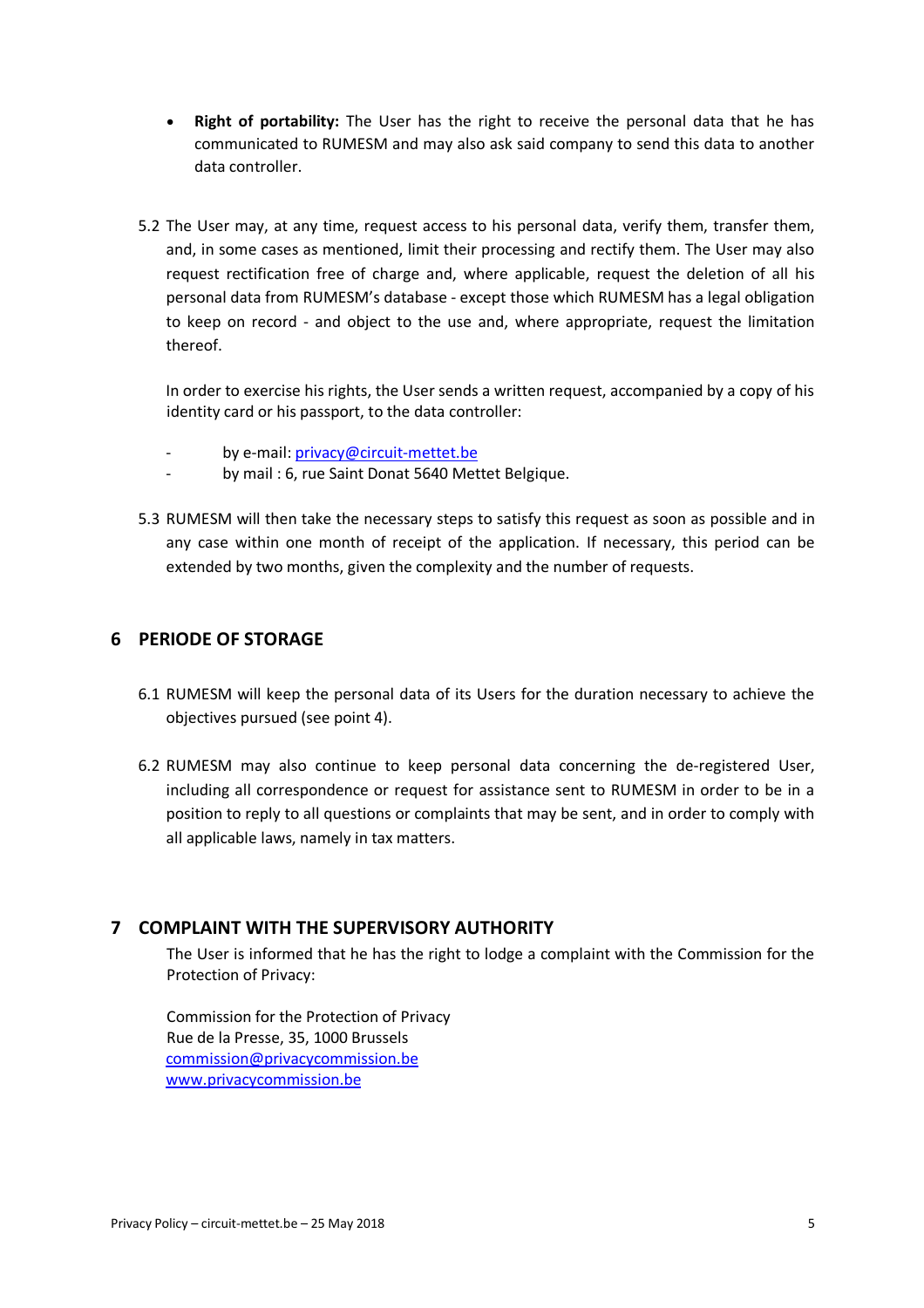- **Right of portability:** The User has the right to receive the personal data that he has communicated to RUMESM and may also ask said company to send this data to another data controller.
- 5.2 The User may, at any time, request access to his personal data, verify them, transfer them, and, in some cases as mentioned, limit their processing and rectify them. The User may also request rectification free of charge and, where applicable, request the deletion of all his personal data from RUMESM's database - except those which RUMESM has a legal obligation to keep on record - and object to the use and, where appropriate, request the limitation thereof.

In order to exercise his rights, the User sends a written request, accompanied by a copy of his identity card or his passport, to the data controller:

- by e-mail: privacy@circuit-mettet.be
- by mail : 6, rue Saint Donat 5640 Mettet Belgique.
- 5.3 RUMESM will then take the necessary steps to satisfy this request as soon as possible and in any case within one month of receipt of the application. If necessary, this period can be extended by two months, given the complexity and the number of requests.

### **6 PERIODE OF STORAGE**

- 6.1 RUMESM will keep the personal data of its Users for the duration necessary to achieve the objectives pursued (see point 4).
- 6.2 RUMESM may also continue to keep personal data concerning the de-registered User, including all correspondence or request for assistance sent to RUMESM in order to be in a position to reply to all questions or complaints that may be sent, and in order to comply with all applicable laws, namely in tax matters.

### **7 COMPLAINT WITH THE SUPERVISORY AUTHORITY**

The User is informed that he has the right to lodge a complaint with the Commission for the Protection of Privacy:

Commission for the Protection of Privacy Rue de la Presse, 35, 1000 Brussels commission@privacycommission.be www.privacycommission.be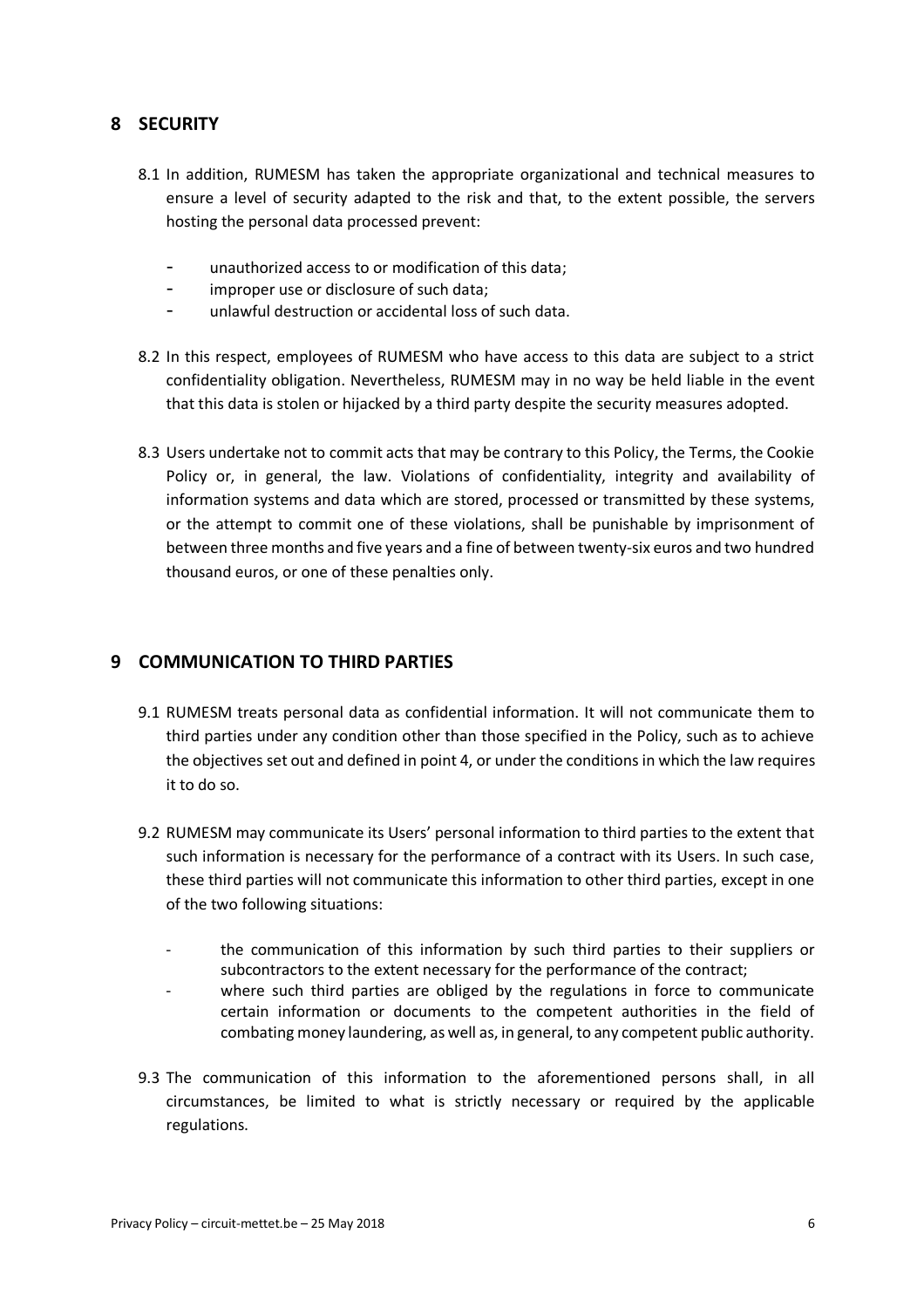### **8 SECURITY**

- 8.1 In addition, RUMESM has taken the appropriate organizational and technical measures to ensure a level of security adapted to the risk and that, to the extent possible, the servers hosting the personal data processed prevent:
	- unauthorized access to or modification of this data;
	- improper use or disclosure of such data;
	- unlawful destruction or accidental loss of such data.
- 8.2 In this respect, employees of RUMESM who have access to this data are subject to a strict confidentiality obligation. Nevertheless, RUMESM may in no way be held liable in the event that this data is stolen or hijacked by a third party despite the security measures adopted.
- 8.3 Users undertake not to commit acts that may be contrary to this Policy, the Terms, the Cookie Policy or, in general, the law. Violations of confidentiality, integrity and availability of information systems and data which are stored, processed or transmitted by these systems, or the attempt to commit one of these violations, shall be punishable by imprisonment of between three months and five years and a fine of between twenty-six euros and two hundred thousand euros, or one of these penalties only.

### **9 COMMUNICATION TO THIRD PARTIES**

- 9.1 RUMESM treats personal data as confidential information. It will not communicate them to third parties under any condition other than those specified in the Policy, such as to achieve the objectives set out and defined in point 4, or under the conditions in which the law requires it to do so.
- 9.2 RUMESM may communicate its Users' personal information to third parties to the extent that such information is necessary for the performance of a contract with its Users. In such case, these third parties will not communicate this information to other third parties, except in one of the two following situations:
	- the communication of this information by such third parties to their suppliers or subcontractors to the extent necessary for the performance of the contract;
	- where such third parties are obliged by the regulations in force to communicate certain information or documents to the competent authorities in the field of combating money laundering, as well as, in general, to any competent public authority.
- 9.3 The communication of this information to the aforementioned persons shall, in all circumstances, be limited to what is strictly necessary or required by the applicable regulations.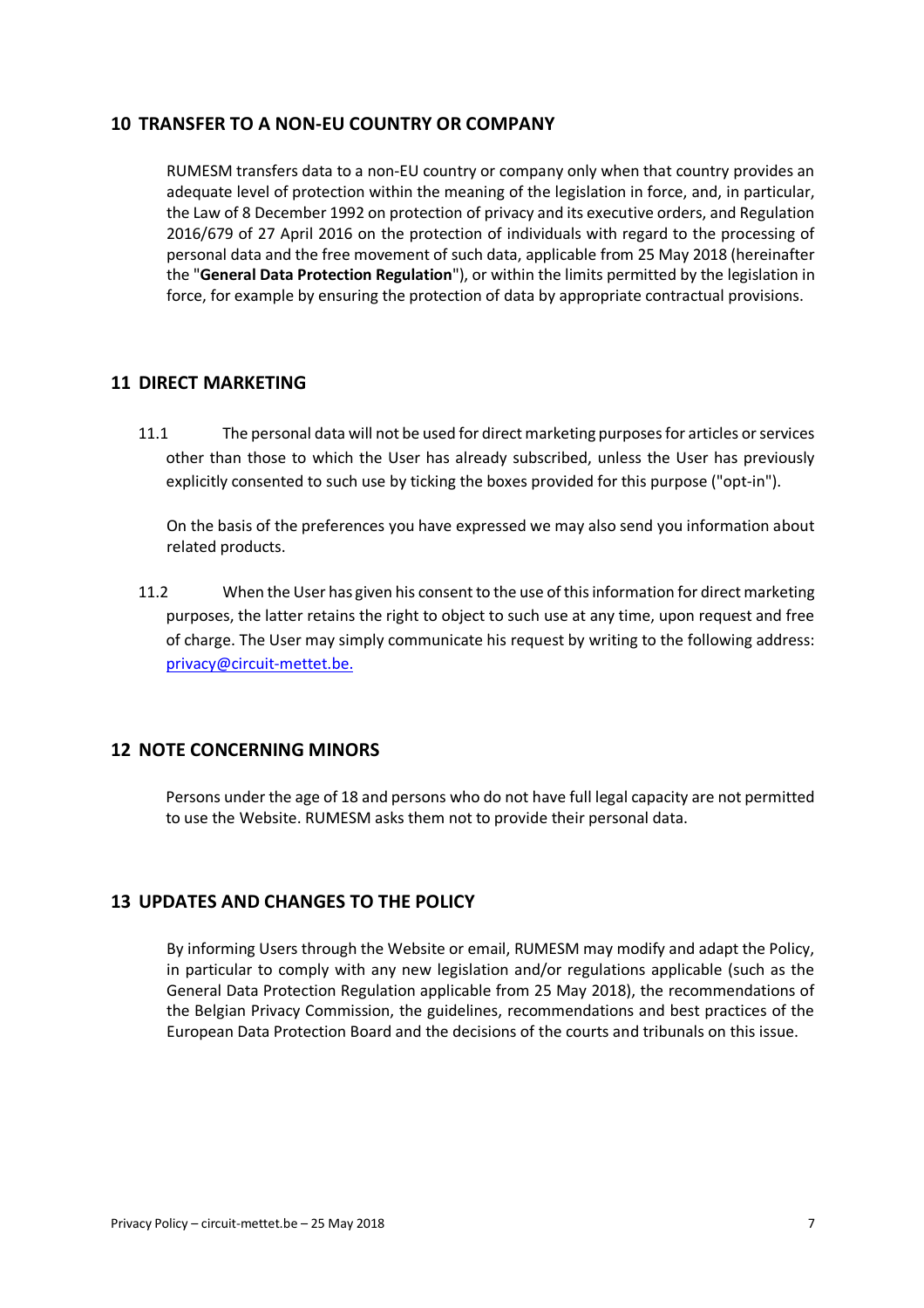#### **10 TRANSFER TO A NON-EU COUNTRY OR COMPANY**

RUMESM transfers data to a non-EU country or company only when that country provides an adequate level of protection within the meaning of the legislation in force, and, in particular, the Law of 8 December 1992 on protection of privacy and its executive orders, and Regulation 2016/679 of 27 April 2016 on the protection of individuals with regard to the processing of personal data and the free movement of such data, applicable from 25 May 2018 (hereinafter the "**General Data Protection Regulation**"), or within the limits permitted by the legislation in force, for example by ensuring the protection of data by appropriate contractual provisions.

#### **11 DIRECT MARKETING**

11.1 The personal data will not be used for direct marketing purposes for articles or services other than those to which the User has already subscribed, unless the User has previously explicitly consented to such use by ticking the boxes provided for this purpose ("opt-in").

On the basis of the preferences you have expressed we may also send you information about related products.

11.2 When the User has given his consent to the use of this information for direct marketing purposes, the latter retains the right to object to such use at any time, upon request and free of charge. The User may simply communicate his request by writing to the following address: privacy@circuit-mettet.be.

#### **12 NOTE CONCERNING MINORS**

Persons under the age of 18 and persons who do not have full legal capacity are not permitted to use the Website. RUMESM asks them not to provide their personal data.

### **13 UPDATES AND CHANGES TO THE POLICY**

By informing Users through the Website or email, RUMESM may modify and adapt the Policy, in particular to comply with any new legislation and/or regulations applicable (such as the General Data Protection Regulation applicable from 25 May 2018), the recommendations of the Belgian Privacy Commission, the guidelines, recommendations and best practices of the European Data Protection Board and the decisions of the courts and tribunals on this issue.